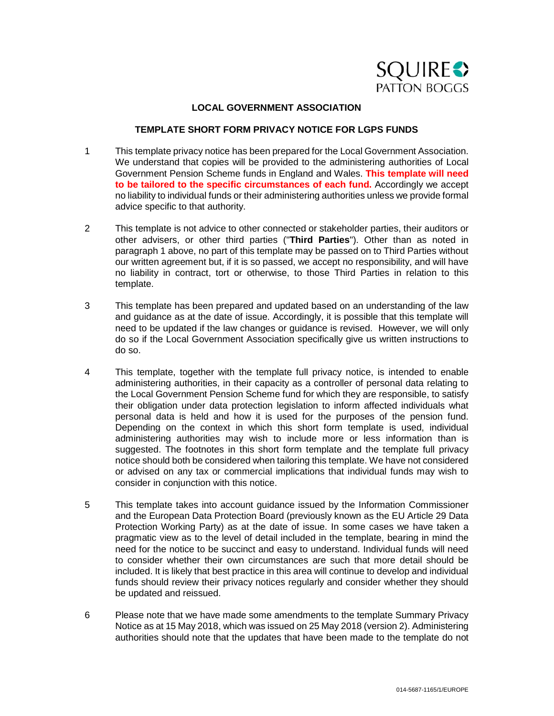

# **LOCAL GOVERNMENT ASSOCIATION**

# **TEMPLATE SHORT FORM PRIVACY NOTICE FOR LGPS FUNDS**

- 1 This template privacy notice has been prepared for the Local Government Association. We understand that copies will be provided to the administering authorities of Local Government Pension Scheme funds in England and Wales. **This template will need to be tailored to the specific circumstances of each fund.** Accordingly we accept no liability to individual funds or their administering authorities unless we provide formal advice specific to that authority.
- 2 This template is not advice to other connected or stakeholder parties, their auditors or other advisers, or other third parties ("**Third Parties**"). Other than as noted in paragraph 1 above, no part of this template may be passed on to Third Parties without our written agreement but, if it is so passed, we accept no responsibility, and will have no liability in contract, tort or otherwise, to those Third Parties in relation to this template.
- 3 This template has been prepared and updated based on an understanding of the law and guidance as at the date of issue. Accordingly, it is possible that this template will need to be updated if the law changes or guidance is revised. However, we will only do so if the Local Government Association specifically give us written instructions to do so.
- 4 This template, together with the template full privacy notice, is intended to enable administering authorities, in their capacity as a controller of personal data relating to the Local Government Pension Scheme fund for which they are responsible, to satisfy their obligation under data protection legislation to inform affected individuals what personal data is held and how it is used for the purposes of the pension fund. Depending on the context in which this short form template is used, individual administering authorities may wish to include more or less information than is suggested. The footnotes in this short form template and the template full privacy notice should both be considered when tailoring this template. We have not considered or advised on any tax or commercial implications that individual funds may wish to consider in conjunction with this notice.
- 5 This template takes into account guidance issued by the Information Commissioner and the European Data Protection Board (previously known as the EU Article 29 Data Protection Working Party) as at the date of issue. In some cases we have taken a pragmatic view as to the level of detail included in the template, bearing in mind the need for the notice to be succinct and easy to understand. Individual funds will need to consider whether their own circumstances are such that more detail should be included. It is likely that best practice in this area will continue to develop and individual funds should review their privacy notices regularly and consider whether they should be updated and reissued.
- 6 Please note that we have made some amendments to the template Summary Privacy Notice as at 15 May 2018, which was issued on 25 May 2018 (version 2). Administering authorities should note that the updates that have been made to the template do not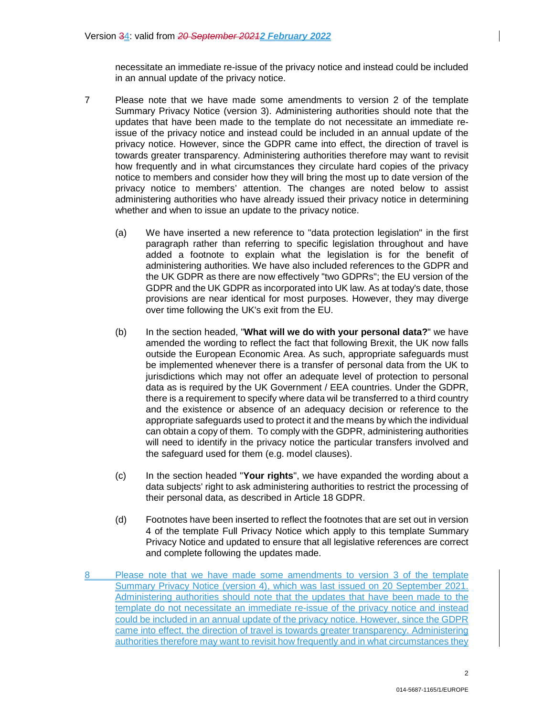necessitate an immediate re-issue of the privacy notice and instead could be included in an annual update of the privacy notice.

- 7 Please note that we have made some amendments to version 2 of the template Summary Privacy Notice (version 3). Administering authorities should note that the updates that have been made to the template do not necessitate an immediate reissue of the privacy notice and instead could be included in an annual update of the privacy notice. However, since the GDPR came into effect, the direction of travel is towards greater transparency. Administering authorities therefore may want to revisit how frequently and in what circumstances they circulate hard copies of the privacy notice to members and consider how they will bring the most up to date version of the privacy notice to members' attention. The changes are noted below to assist administering authorities who have already issued their privacy notice in determining whether and when to issue an update to the privacy notice.
	- (a) We have inserted a new reference to "data protection legislation" in the first paragraph rather than referring to specific legislation throughout and have added a footnote to explain what the legislation is for the benefit of administering authorities. We have also included references to the GDPR and the UK GDPR as there are now effectively "two GDPRs"; the EU version of the GDPR and the UK GDPR as incorporated into UK law. As at today's date, those provisions are near identical for most purposes. However, they may diverge over time following the UK's exit from the EU.
	- (b) In the section headed, "**What will we do with your personal data?**" we have amended the wording to reflect the fact that following Brexit, the UK now falls outside the European Economic Area. As such, appropriate safeguards must be implemented whenever there is a transfer of personal data from the UK to jurisdictions which may not offer an adequate level of protection to personal data as is required by the UK Government / EEA countries. Under the GDPR, there is a requirement to specify where data wil be transferred to a third country and the existence or absence of an adequacy decision or reference to the appropriate safeguards used to protect it and the means by which the individual can obtain a copy of them. To comply with the GDPR, administering authorities will need to identify in the privacy notice the particular transfers involved and the safeguard used for them (e.g. model clauses).
	- (c) In the section headed "**Your rights**", we have expanded the wording about a data subjects' right to ask administering authorities to restrict the processing of their personal data, as described in Article 18 GDPR.
	- (d) Footnotes have been inserted to reflect the footnotes that are set out in version 4 of the template Full Privacy Notice which apply to this template Summary Privacy Notice and updated to ensure that all legislative references are correct and complete following the updates made.
- Please note that we have made some amendments to version 3 of the template Summary Privacy Notice (version 4), which was last issued on 20 September 2021. Administering authorities should note that the updates that have been made to the template do not necessitate an immediate re-issue of the privacy notice and instead could be included in an annual update of the privacy notice. However, since the GDPR came into effect, the direction of travel is towards greater transparency. Administering authorities therefore may want to revisit how frequently and in what circumstances they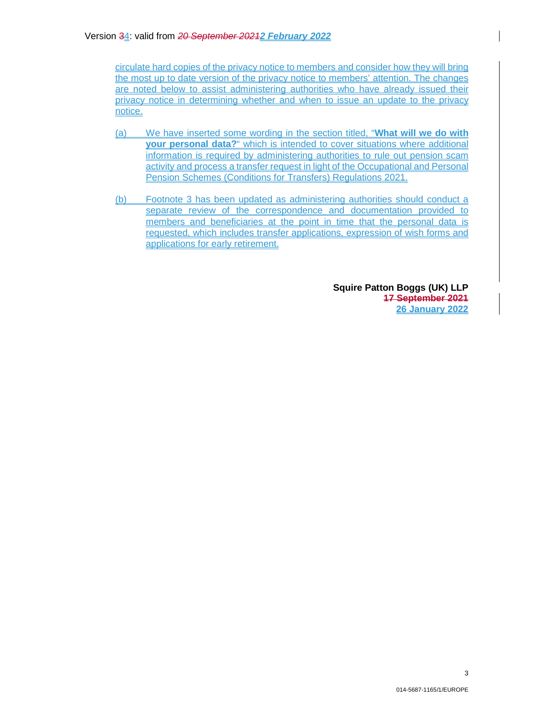circulate hard copies of the privacy notice to members and consider how they will bring the most up to date version of the privacy notice to members' attention. The changes are noted below to assist administering authorities who have already issued their privacy notice in determining whether and when to issue an update to the privacy notice.

- (a) We have inserted some wording in the section titled, "**What will we do with your personal data?**" which is intended to cover situations where additional information is required by administering authorities to rule out pension scam activity and process a transfer request in light of the Occupational and Personal Pension Schemes (Conditions for Transfers) Regulations 2021.
- (b) Footnote 3 has been updated as administering authorities should conduct a separate review of the correspondence and documentation provided to members and beneficiaries at the point in time that the personal data is requested, which includes transfer applications, expression of wish forms and applications for early retirement.

**Squire Patton Boggs (UK) LLP 17 September 2021 26 January 2022**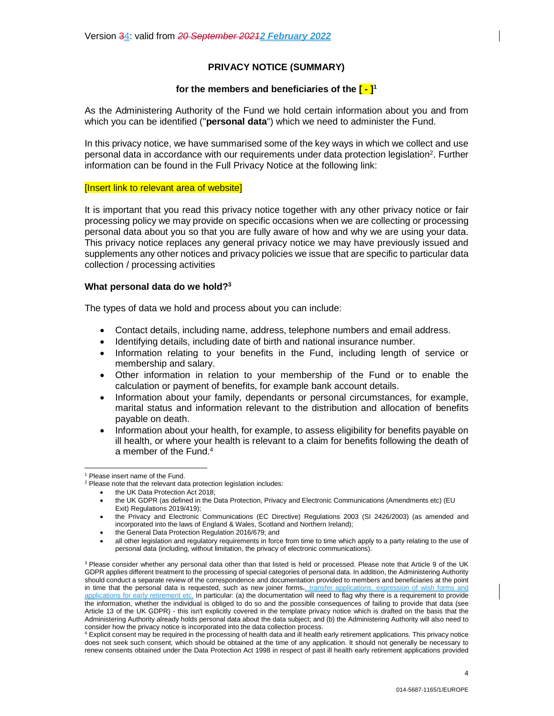# **PRIVACY NOTICE (SUMMARY)**

# **for the members and beneficiaries of the [ - ]<sup>1</sup>**

As the Administering Authority of the Fund we hold certain information about you and from which you can be identified ("**personal data**") which we need to administer the Fund.

In this privacy notice, we have summarised some of the key ways in which we collect and use personal data in accordance with our requirements under data protection legislation<sup>2</sup>. Further information can be found in the Full Privacy Notice at the following link:

### [Insert link to relevant area of website]

It is important that you read this privacy notice together with any other privacy notice or fair processing policy we may provide on specific occasions when we are collecting or processing personal data about you so that you are fully aware of how and why we are using your data. This privacy notice replaces any general privacy notice we may have previously issued and supplements any other notices and privacy policies we issue that are specific to particular data collection / processing activities

### **What personal data do we hold?<sup>3</sup>**

The types of data we hold and process about you can include:

- Contact details, including name, address, telephone numbers and email address.
- Identifying details, including date of birth and national insurance number.
- Information relating to your benefits in the Fund, including length of service or membership and salary.
- Other information in relation to your membership of the Fund or to enable the calculation or payment of benefits, for example bank account details.
- Information about your family, dependants or personal circumstances, for example, marital status and information relevant to the distribution and allocation of benefits payable on death.
- Information about your health, for example, to assess eligibility for benefits payable on ill health, or where your health is relevant to a claim for benefits following the death of a member of the Fund.<sup>4</sup>

the UK Data Protection Act 2018;

<sup>&</sup>lt;sup>1</sup> Please insert name of the Fund.

 $2$  Please note that the relevant data protection legislation includes:

the UK GDPR (as defined in the Data Protection, Privacy and Electronic Communications (Amendments etc) (EU Exit) Regulations 2019/419);

the Privacy and Electronic Communications (EC Directive) Regulations 2003 (SI 2426/2003) (as amended and incorporated into the laws of England & Wales, Scotland and Northern Ireland);

the General Data Protection Regulation 2016/679; and

all other legislation and regulatory requirements in force from time to time which apply to a party relating to the use of personal data (including, without limitation, the privacy of electronic communications).

<sup>&</sup>lt;sup>3</sup> Please consider whether any personal data other than that listed is held or processed. Please note that Article 9 of the UK GDPR applies different treatment to the processing of special categories of personal data. In addition, the Administering Authority should conduct a separate review of the correspondence and documentation provided to members and beneficiaries at the point in time that the personal data is requested, such as new joiner forms., transfer applications, expression of wish forms and applications for early retirement etc. In particular: (a) the documentation will need to flag why there is a requirement to provide the information, whether the individual is obliged to do so and the possible consequences of failing to provide that data (see Article 13 of the UK GDPR) - this isn't explicitly covered in the template privacy notice which is drafted on the basis that the Administering Authority already holds personal data about the data subject; and (b) the Administering Authority will also need to consider how the privacy notice is incorporated into the data collection process.

<sup>4</sup> Explicit consent may be required in the processing of health data and ill health early retirement applications. This privacy notice does not seek such consent, which should be obtained at the time of any application. It should not generally be necessary to renew consents obtained under the Data Protection Act 1998 in respect of past ill health early retirement applications provided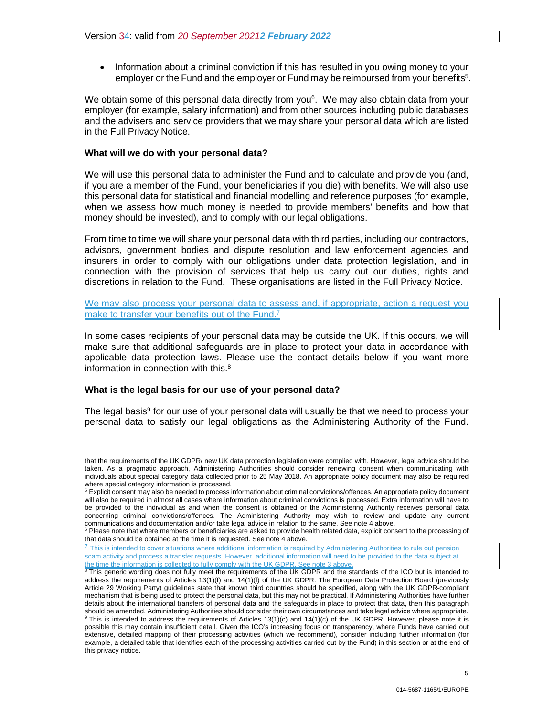• Information about a criminal conviction if this has resulted in you owing money to your employer or the Fund and the employer or Fund may be reimbursed from your benefits<sup>5</sup>.

We obtain some of this personal data directly from you<sup>6</sup>. We may also obtain data from your employer (for example, salary information) and from other sources including public databases and the advisers and service providers that we may share your personal data which are listed in the Full Privacy Notice.

### **What will we do with your personal data?**

We will use this personal data to administer the Fund and to calculate and provide you (and, if you are a member of the Fund, your beneficiaries if you die) with benefits. We will also use this personal data for statistical and financial modelling and reference purposes (for example, when we assess how much money is needed to provide members' benefits and how that money should be invested), and to comply with our legal obligations.

From time to time we will share your personal data with third parties, including our contractors, advisors, government bodies and dispute resolution and law enforcement agencies and insurers in order to comply with our obligations under data protection legislation, and in connection with the provision of services that help us carry out our duties, rights and discretions in relation to the Fund. These organisations are listed in the Full Privacy Notice.

We may also process your personal data to assess and, if appropriate, action a request you make to transfer your benefits out of the Fund.<sup>7</sup>

In some cases recipients of your personal data may be outside the UK. If this occurs, we will make sure that additional safeguards are in place to protect your data in accordance with applicable data protection laws. Please use the contact details below if you want more information in connection with this.<sup>8</sup>

# **What is the legal basis for our use of your personal data?**

The legal basis<sup>9</sup> for our use of your personal data will usually be that we need to process your personal data to satisfy our legal obligations as the Administering Authority of the Fund.

<sup>7</sup> This is intended to cover situations where additional information is required by Administering Authorities to rule out pension scam activity and process a transfer requests. However, additional information will need to be provided to the data subject at the time the information is collected to fully comply with the UK GDPR. See note 3 above,

that the requirements of the UK GDPR/ new UK data protection legislation were complied with. However, legal advice should be taken. As a pragmatic approach, Administering Authorities should consider renewing consent when communicating with individuals about special category data collected prior to 25 May 2018. An appropriate policy document may also be required where special category information is processed.

<sup>&</sup>lt;sup>5</sup> Explicit consent may also be needed to process information about criminal convictions/offences. An appropriate policy document will also be required in almost all cases where information about criminal convictions is processed. Extra information will have to be provided to the individual as and when the consent is obtained or the Administering Authority receives personal data concerning criminal convictions/offences. The Administering Authority may wish to review and update any current communications and documentation and/or take legal advice in relation to the same. See note 4 above.<br><sup>6</sup> Please note that where members or beneficiaries are asked to provide health related data, explicit consent to the pro

that data should be obtained at the time it is requested. See note 4 above.

<sup>&</sup>lt;sup>8</sup> This generic wording does not fully meet the requirements of the UK GDPR and the standards of the ICO but is intended to address the requirements of Articles 13(1)(f) and 14(1)(f) of the UK GDPR. The European Data Protection Board (previously Article 29 Working Party) guidelines state that known third countries should be specified, along with the UK GDPR-compliant mechanism that is being used to protect the personal data, but this may not be practical. If Administering Authorities have further details about the international transfers of personal data and the safeguards in place to protect that data, then this paragraph should be amended. Administering Authorities should consider their own circumstances and take legal advice where appropriate. <sup>9</sup> This is intended to address the requirements of Articles 13(1)(c) and 14(1)(c) of the UK GDPR. However, please note it is possible this may contain insufficient detail. Given the ICO's increasing focus on transparency, where Funds have carried out

extensive, detailed mapping of their processing activities (which we recommend), consider including further information (for example, a detailed table that identifies each of the processing activities carried out by the Fund) in this section or at the end of this privacy notice.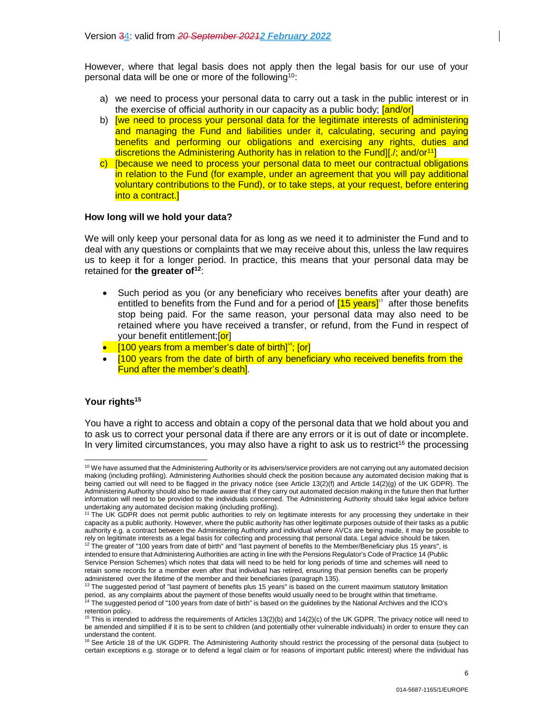However, where that legal basis does not apply then the legal basis for our use of your personal data will be one or more of the following<sup>10</sup>:

- a) we need to process your personal data to carry out a task in the public interest or in the exercise of official authority in our capacity as a public body; [and/or]
- b) [we need to process your personal data for the legitimate interests of administering and managing the Fund and liabilities under it, calculating, securing and paying benefits and performing our obligations and exercising any rights, duties and discretions the Administering Authority has in relation to the Fund][./; and/or<sup>11</sup>]
- c) [because we need to process your personal data to meet our contractual obligations in relation to the Fund (for example, under an agreement that you will pay additional voluntary contributions to the Fund), or to take steps, at your request, before entering into a contract.]

# **How long will we hold your data?**

We will only keep your personal data for as long as we need it to administer the Fund and to deal with any questions or complaints that we may receive about this, unless the law requires us to keep it for a longer period. In practice, this means that your personal data may be retained for **the greater of<sup>12</sup>**:

- Such period as you (or any beneficiary who receives benefits after your death) are entitled to benefits from the Fund and for a period of  $15 \text{ years}$ <sup>13</sup> after those benefits stop being paid. For the same reason, your personal data may also need to be retained where you have received a transfer, or refund, from the Fund in respect of your benefit entitlement; [or]
- $\bullet$  [100 years from a member's date of birth]<sup>14</sup>; [or]
- [100 years from the date of birth of any beneficiary who received benefits from the Fund after the member's death].

# **Your rights<sup>15</sup>**

You have a right to access and obtain a copy of the personal data that we hold about you and to ask us to correct your personal data if there are any errors or it is out of date or incomplete. In very limited circumstances, you may also have a right to ask us to restrict<sup>16</sup> the processing

<sup>10</sup> We have assumed that the Administering Authority or its advisers/service providers are not carrying out any automated decision making (including profiling). Administering Authorities should check the position because any automated decision making that is being carried out will need to be flagged in the privacy notice (see Article 13(2)(f) and Article 14(2)(g) of the UK GDPR). The Administering Authority should also be made aware that if they carry out automated decision making in the future then that further information will need to be provided to the individuals concerned. The Administering Authority should take legal advice before undertaking any automated decision making (including profiling).

<sup>11</sup> The UK GDPR does not permit public authorities to rely on legitimate interests for any processing they undertake in their capacity as a public authority. However, where the public authority has other legitimate purposes outside of their tasks as a public authority e.g. a contract between the Administering Authority and individual where AVCs are being made, it may be possible to rely on legitimate interests as a legal basis for collecting and processing that personal data. Legal advice should be taken.

 $12$  The greater of "100 years from date of birth" and "last payment of benefits to the Member/Beneficiary plus 15 years", is intended to ensure that Administering Authorities are acting in line with the Pensions Regulator's Code of Practice 14 (Public Service Pension Schemes) which notes that data will need to be held for long periods of time and schemes will need to retain some records for a member even after that individual has retired, ensuring that pension benefits can be properly administered over the lifetime of the member and their beneficiaries (paragraph 135).

 $13$  The suggested period of "last payment of benefits plus 15 years" is based on the current maximum statutory limitation period, as any complaints about the payment of those benefits would usually need to be brought within that timeframe. <sup>14</sup> The suggested period of "100 years from date of birth" is based on the guidelines by the National Archives and the ICO's retention policy.

<sup>15</sup> This is intended to address the requirements of Articles 13(2)(b) and 14(2)(c) of the UK GDPR. The privacy notice will need to be amended and simplified if it is to be sent to children (and potentially other vulnerable individuals) in order to ensure they can understand the content.

<sup>&</sup>lt;sup>16</sup> See Article 18 of the UK GDPR. The Administering Authority should restrict the processing of the personal data (subject to certain exceptions e.g. storage or to defend a legal claim or for reasons of important public interest) where the individual has